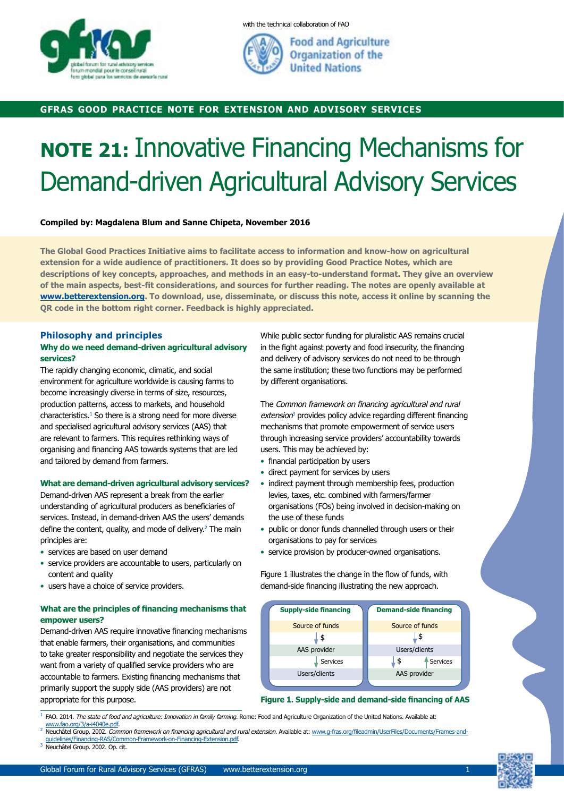

with the technical collaboration of FAO



**Food and Agriculture** Organization of the **United Nations** 

## **gfras good practice note for extension and advisory services**

# **NOTE 21:** Innovative Financing Mechanisms for Demand-driven Agricultural Advisory Services

**Compiled by: Magdalena Blum and Sanne Chipeta, November 2016**

**The Global Good Practices Initiative aims to facilitate access to information and know-how on agricultural extension for a wide audience of practitioners. It does so by providing Good Practice Notes, which are descriptions of key concepts, approaches, and methods in an easy-to-understand format. They give an overview of the main aspects, best-fit considerations, and sources for further reading. The notes are openly available at www.betterextension.org. To download, use, disseminate, or discuss this note, access it online by scanning the QR code in the bottom right corner. Feedback is highly appreciated.**

## **Philosophy and principles**

## **Why do we need demand-driven agricultural advisory services?**

The rapidly changing economic, climatic, and social environment for agriculture worldwide is causing farms to become increasingly diverse in terms of size, resources, production patterns, access to markets, and household characteristics.1 So there is a strong need for more diverse and specialised agricultural advisory services (AAS) that are relevant to farmers. This requires rethinking ways of organising and financing AAS towards systems that are led and tailored by demand from farmers.

#### **What are demand-driven agricultural advisory services?**

Demand-driven AAS represent a break from the earlier understanding of agricultural producers as beneficiaries of services. Instead, in demand-driven AAS the users' demands define the content, quality, and mode of delivery.<sup>2</sup> The main principles are:

- services are based on user demand
- service providers are accountable to users, particularly on content and quality
- users have a choice of service providers.

## **What are the principles of financing mechanisms that empower users?**

Demand-driven AAS require innovative financing mechanisms that enable farmers, their organisations, and communities to take greater responsibility and negotiate the services they want from a variety of qualified service providers who are accountable to farmers. Existing financing mechanisms that primarily support the supply side (AAS providers) are not appropriate for this purpose.

While public sector funding for pluralistic AAS remains crucial in the fight against poverty and food insecurity, the financing and delivery of advisory services do not need to be through the same institution; these two functions may be performed by different organisations.

The Common framework on financing agricultural and rural  $extension<sup>3</sup>$  provides policy advice regarding different financing mechanisms that promote empowerment of service users through increasing service providers' accountability towards users. This may be achieved by:

- financial participation by users
- direct payment for services by users
- indirect payment through membership fees, production levies, taxes, etc. combined with farmers/farmer organisations (FOs) being involved in decision-making on the use of these funds
- public or donor funds channelled through users or their organisations to pay for services
- service provision by producer-owned organisations.

Figure 1 illustrates the change in the flow of funds, with demand-side financing illustrating the new approach.

| <b>Supply-side financing</b> | <b>Demand-side financing</b> |
|------------------------------|------------------------------|
| Source of funds              | Source of funds              |
| \$                           | \$                           |
| AAS provider                 | Users/clients                |
| Services                     | \$<br>Services               |
| Users/clients                | AAS provider                 |
|                              |                              |

**Figure 1. Supply-side and demand-side financing of AAS**

- $^1$  FAO. 2014. The state of food and agriculture: Innovation in family farming. Rome: Food and Agriculture Organization of the United Nations. Available at:
- www.fao.org/3/a-i4040e.pdf.<br>Neuchâtel Group. 2002. Common framework on financing agricultural and rural extension. Available at: www.g-fras.org/fileadmin/UserFiles/Documents/Frames-andauidelines/Financing-RAS/Common-Framework-on-Financing-Extension.pdf
- Neuchâtel Group. 2002. Op. cit.

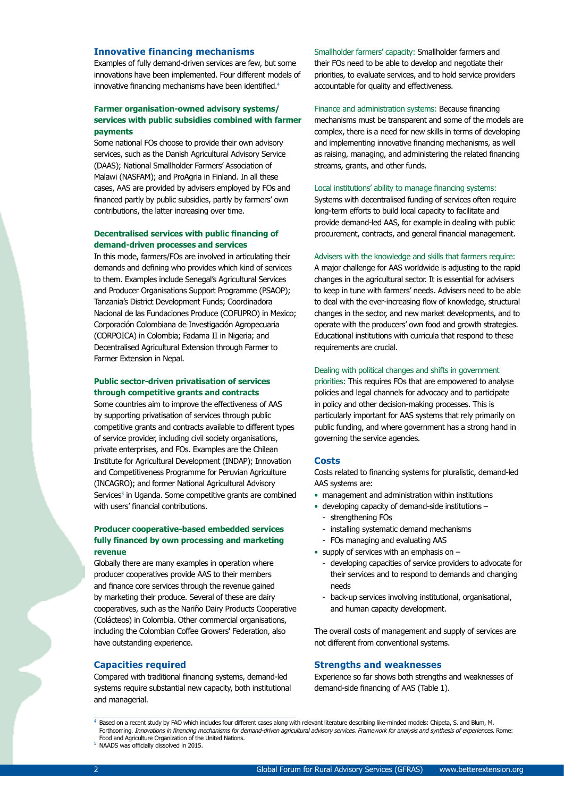## **Innovative financing mechanisms**

Examples of fully demand-driven services are few, but some innovations have been implemented. Four different models of innovative financing mechanisms have been identified.<sup>4</sup>

## **Farmer organisation-owned advisory systems/ services with public subsidies combined with farmer payments**

Some national FOs choose to provide their own advisory services, such as the Danish Agricultural Advisory Service (DAAS); National Smallholder Farmers' Association of Malawi (NASFAM); and ProAgria in Finland. In all these cases, AAS are provided by advisers employed by FOs and financed partly by public subsidies, partly by farmers' own contributions, the latter increasing over time.

## **Decentralised services with public financing of demand-driven processes and services**

In this mode, farmers/FOs are involved in articulating their demands and defining who provides which kind of services to them. Examples include Senegal's Agricultural Services and Producer Organisations Support Programme (PSAOP); Tanzania's District Development Funds; Coordinadora Nacional de las Fundaciones Produce (COFUPRO) in Mexico; Corporación Colombiana de Investigación Agropecuaria (CORPOICA) in Colombia; Fadama II in Nigeria; and Decentralised Agricultural Extension through Farmer to Farmer Extension in Nepal.

## **Public sector-driven privatisation of services through competitive grants and contracts**

Some countries aim to improve the effectiveness of AAS by supporting privatisation of services through public competitive grants and contracts available to different types of service provider, including civil society organisations, private enterprises, and FOs. Examples are the Chilean Institute for Agricultural Development (INDAP); Innovation and Competitiveness Programme for Peruvian Agriculture (INCAGRO); and former National Agricultural Advisory Services<sup>5</sup> in Uganda. Some competitive grants are combined with users' financial contributions.

## **Producer cooperative-based embedded services fully financed by own processing and marketing revenue**

Globally there are many examples in operation where producer cooperatives provide AAS to their members and finance core services through the revenue gained by marketing their produce. Several of these are dairy cooperatives, such as the Nariño Dairy Products Cooperative (Colácteos) in Colombia. Other commercial organisations, including the Colombian Coffee Growers' Federation, also have outstanding experience.

#### **Capacities required**

Compared with traditional financing systems, demand-led systems require substantial new capacity, both institutional and managerial.

Smallholder farmers' capacity: Smallholder farmers and their FOs need to be able to develop and negotiate their priorities, to evaluate services, and to hold service providers accountable for quality and effectiveness.

Finance and administration systems: Because financing mechanisms must be transparent and some of the models are complex, there is a need for new skills in terms of developing and implementing innovative financing mechanisms, as well as raising, managing, and administering the related financing streams, grants, and other funds.

#### Local institutions' ability to manage financing systems:

Systems with decentralised funding of services often require long-term efforts to build local capacity to facilitate and provide demand-led AAS, for example in dealing with public procurement, contracts, and general financial management.

#### Advisers with the knowledge and skills that farmers require:

A major challenge for AAS worldwide is adjusting to the rapid changes in the agricultural sector. It is essential for advisers to keep in tune with farmers' needs. Advisers need to be able to deal with the ever-increasing flow of knowledge, structural changes in the sector, and new market developments, and to operate with the producers' own food and growth strategies. Educational institutions with curricula that respond to these requirements are crucial.

#### Dealing with political changes and shifts in government

priorities: This requires FOs that are empowered to analyse policies and legal channels for advocacy and to participate in policy and other decision-making processes. This is particularly important for AAS systems that rely primarily on public funding, and where government has a strong hand in governing the service agencies.

#### **Costs**

Costs related to financing systems for pluralistic, demand-led AAS systems are:

- management and administration within institutions
- developing capacity of demand-side institutions
	- strengthening FOs
	- installing systematic demand mechanisms
	- FOs managing and evaluating AAS
- supply of services with an emphasis on  $-$ 
	- developing capacities of service providers to advocate for their services and to respond to demands and changing needs
	- back-up services involving institutional, organisational, and human capacity development.

The overall costs of management and supply of services are not different from conventional systems.

#### **Strengths and weaknesses**

Experience so far shows both strengths and weaknesses of demand-side financing of AAS (Table 1).

 $^4$  Based on a recent study by FAO which includes four different cases along with relevant literature describing like-minded models: Chipeta, S. and Blum, M. Forthcoming. Innovations in financing mechanisms for demand-driven agricultural advisory services. Framework for analysis and synthesis of experiences. Rome: Food and Agriculture Organization of the United Nations.

NAADS was officially dissolved in 2015.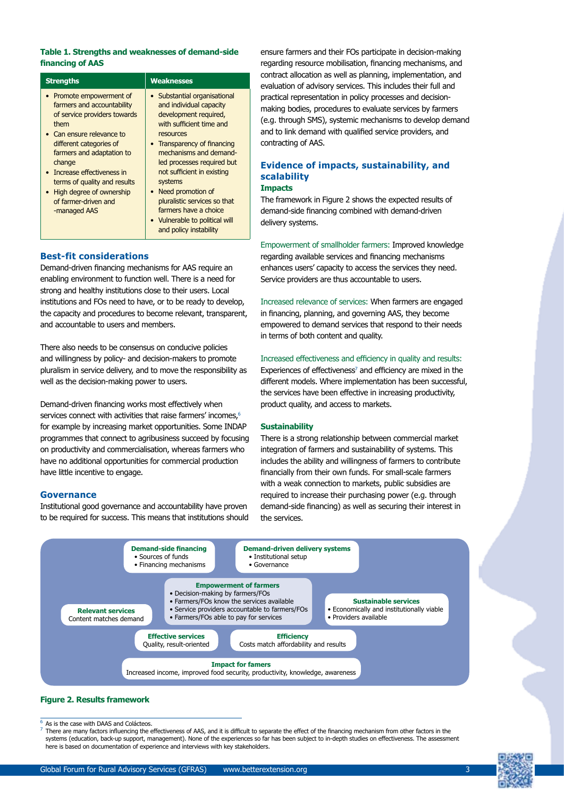## **Table 1. Strengths and weaknesses of demand-side financing of AAS**

| <b>Strengths</b>                                                                                                                                                                                                                                                                                                                 | <b>Weaknesses</b>                                                                                                                                                                                                                                                                                                                                                                                   |
|----------------------------------------------------------------------------------------------------------------------------------------------------------------------------------------------------------------------------------------------------------------------------------------------------------------------------------|-----------------------------------------------------------------------------------------------------------------------------------------------------------------------------------------------------------------------------------------------------------------------------------------------------------------------------------------------------------------------------------------------------|
| • Promote empowerment of<br>farmers and accountability<br>of service providers towards<br>them<br>• Can ensure relevance to<br>different categories of<br>farmers and adaptation to<br>change<br>Increase effectiveness in<br>terms of quality and results<br>• High degree of ownership<br>of farmer-driven and<br>-managed AAS | • Substantial organisational<br>and individual capacity<br>development required,<br>with sufficient time and<br>resources<br>• Transparency of financing<br>mechanisms and demand-<br>led processes required but<br>not sufficient in existing<br>systems<br>Need promotion of<br>pluralistic services so that<br>farmers have a choice<br>• Vulnerable to political will<br>and policy instability |

## **Best-fit considerations**

Demand-driven financing mechanisms for AAS require an enabling environment to function well. There is a need for strong and healthy institutions close to their users. Local institutions and FOs need to have, or to be ready to develop, the capacity and procedures to become relevant, transparent, and accountable to users and members.

There also needs to be consensus on conducive policies and willingness by policy- and decision-makers to promote pluralism in service delivery, and to move the responsibility as well as the decision-making power to users.

Demand-driven financing works most effectively when services connect with activities that raise farmers' incomes,<sup>6</sup> for example by increasing market opportunities. Some INDAP programmes that connect to agribusiness succeed by focusing on productivity and commercialisation, whereas farmers who have no additional opportunities for commercial production have little incentive to engage.

## **Governance**

Institutional good governance and accountability have proven to be required for success. This means that institutions should

ensure farmers and their FOs participate in decision-making regarding resource mobilisation, financing mechanisms, and contract allocation as well as planning, implementation, and evaluation of advisory services. This includes their full and practical representation in policy processes and decisionmaking bodies, procedures to evaluate services by farmers (e.g. through SMS), systemic mechanisms to develop demand and to link demand with qualified service providers, and contracting of AAS.

# **Evidence of impacts, sustainability, and scalability**

## **Impacts**

The framework in Figure 2 shows the expected results of demand-side financing combined with demand-driven delivery systems.

Empowerment of smallholder farmers: Improved knowledge regarding available services and financing mechanisms enhances users' capacity to access the services they need. Service providers are thus accountable to users.

Increased relevance of services: When farmers are engaged in financing, planning, and governing AAS, they become empowered to demand services that respond to their needs in terms of both content and quality.

#### Increased effectiveness and efficiency in quality and results:

Experiences of effectiveness<sup>7</sup> and efficiency are mixed in the different models. Where implementation has been successful, the services have been effective in increasing productivity, product quality, and access to markets.

#### **Sustainability**

There is a strong relationship between commercial market integration of farmers and sustainability of systems. This includes the ability and willingness of farmers to contribute financially from their own funds. For small-scale farmers with a weak connection to markets, public subsidies are required to increase their purchasing power (e.g. through demand-side financing) as well as securing their interest in the services.



## **Figure 2. Results framework**

As is the case with DAAS and Colácteos.

There are many factors influencing the effectiveness of AAS, and it is difficult to separate the effect of the financing mechanism from other factors in the systems (education, back-up support, management). None of the experiences so far has been subject to in-depth studies on effectiveness. The assessment here is based on documentation of experience and interviews with key stakeholders.